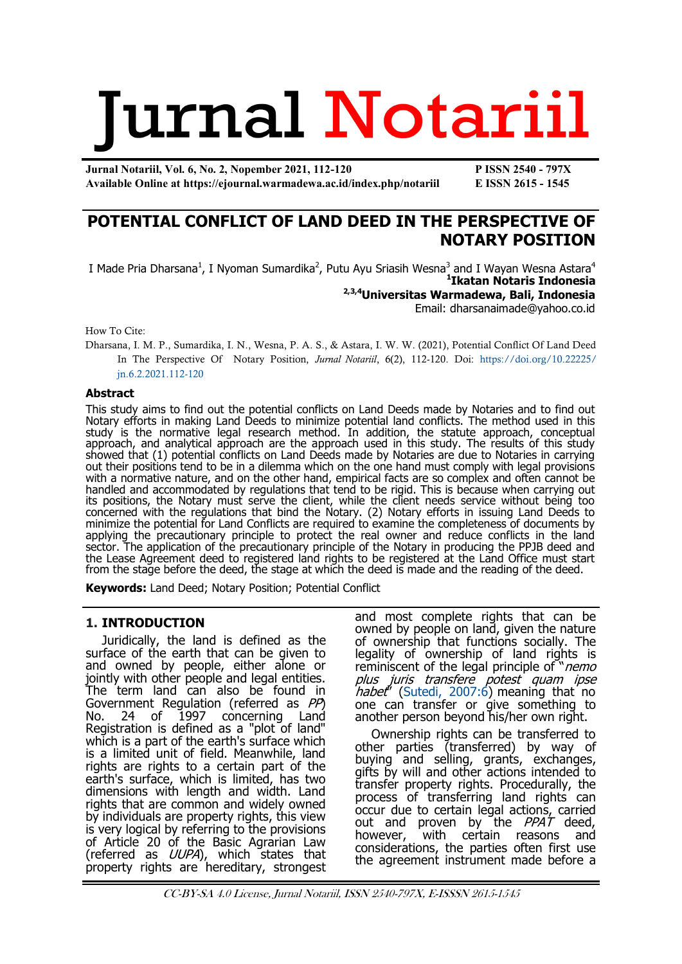# Jurnal Notariil

**Jurnal Notariil, Vol. 6, No. 2, Nopember 2021, 112-120 P ISSN 2540 - 797X Available Online at https://ejournal.warmadewa.ac.id/index.php/notariil E ISSN 2615 - 1545**

# **POTENTIAL CONFLICT OF LAND DEED IN THE PERSPECTIVE OF NOTARY POSITION**

I Made Pria Dharsana<sup>1</sup>, I Nyoman Sumardika<sup>2</sup>, Putu Ayu Sriasih Wesna<sup>3</sup> and I Wayan Wesna Astara<sup>4</sup><br>**11katan Notaris Indonesia 2,3,4Universitas Warmadewa, Bali, Indonesia**  Email: [dharsanaimade@yahoo.co.id](mailto:dharsanaimade@yahoo.co.id)

How To Cite:

Dharsana, I. M. P., Sumardika, I. N., Wesna, P. A. S., & Astara, I. W. W. (2021), Potential Conflict Of Land Deed In The Perspective Of Notary Position, *Jurnal Notariil*, 6(2), 112-120. Doi: [https://doi.org/10.22225/](https://doi.org/10.22225/jn.6.2.2021.112-120) [jn.6.2.2021.112-120](https://doi.org/10.22225/jn.6.2.2021.112-120)

### **Abstract**

This study aims to find out the potential conflicts on Land Deeds made by Notaries and to find out Notary efforts in making Land Deeds to minimize potential land conflicts. The method used in this study is the normative legal research method. In addition, the statute approach, conceptual approach, and analytical approach are the approach used in this study. The results of this study showed that (1) potential conflicts on Land Deeds made by Notaries are due to Notaries in carrying out their positions tend to be in a dilemma which on the one hand must comply with legal provisions with a normative nature, and on the other hand, empirical facts are so complex and often cannot be handled and accommodated by regulations that tend to be rigid. This is because when carrying out its positions, the Notary must serve the client, while the client needs service without being too concerned with the regulations that bind the Notary. (2) Notary efforts in issuing Land Deeds to minimize the potential for Land Conflicts are required to examine the completeness of documents by applying the precautionary principle to protect the real owner and reduce conflicts in the land sector. The application of the precautionary principle of the Notary in producing the PPJB deed and the Lease Agreement deed to registered land rights to be registered at the Land Office must start from the stage before the deed, the stage at which the deed is made and the reading of the deed.

**Keywords:** Land Deed; Notary Position; Potential Conflict

# **1. INTRODUCTION**

Juridically, the land is defined as the surface of the earth that can be given to and owned by people, either alone or jointly with other people and legal entities. The term land can also be found in Government Regulation (referred as PP)<br>No. 24 of 1997 concerning Land No. 24 of 1997 concerning Land Registration is defined as a "plot of land" which is a part of the earth's surface which is a limited unit of field. Meanwhile, land rights are rights to a certain part of the earth's surface, which is limited, has two dimensions with length and width. Land rights that are common and widely owned by individuals are property rights, this view is very logical by referring to the provisions of Article 20 of the Basic Agrarian Law (referred as *UUPA*), which states that property rights are hereditary, strongest

and most complete rights that can be owned by people on land, given the nature of ownership that functions socially. The legality of ownership of land rights is reminiscent of the legal principle of "*nemo* plus juris transfere potest quam ipse habet" [\(Sutedi, 2007:6\)](#page-7-0) meaning that no one can transfer or give something to another person beyond his/her own right.

Ownership rights can be transferred to other parties (transferred) by way of buying and selling, grants, exchanges, gifts by will and other actions intended to transfer property rights. Procedurally, the process of transferring land rights can occur due to certain legal actions, carried out and proven by the PPAT deed, however, with certain reasons and considerations, the parties often first use the agreement instrument made before a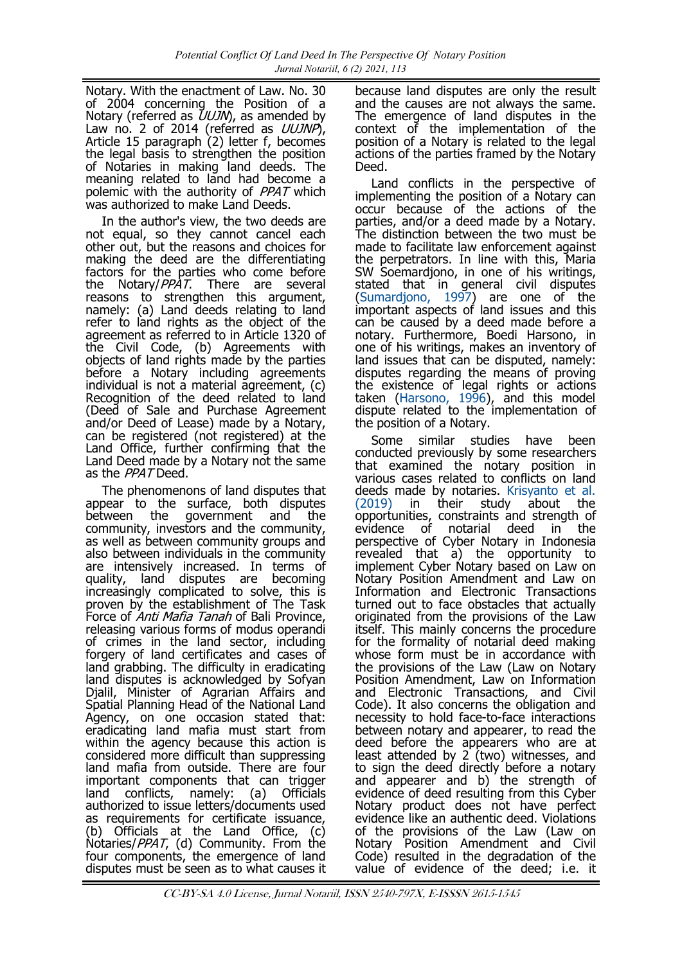Notary. With the enactment of Law. No. 30 of 2004 concerning the Position of a Notary (referred as  $UUJN$ ), as amended by Law no. 2 of 2014 (referred as UUJNP), Article 15 paragraph (2) letter f, becomes the legal basis to strengthen the position of Notaries in making land deeds. The meaning related to land had become a polemic with the authority of PPAT which was authorized to make Land Deeds.

In the author's view, the two deeds are not equal, so they cannot cancel each other out, but the reasons and choices for making the deed are the differentiating factors for the parties who come before the Notary/ $PPAT$ . There are several reasons to strengthen this argument, namely: (a) Land deeds relating to land refer to land rights as the object of the agreement as referred to in Article 1320 of the Civil Code, (b) Agreements with objects of land rights made by the parties before a Notary including agreements individual is not a material agreement, (c) Recognition of the deed related to land (Deed of Sale and Purchase Agreement and/or Deed of Lease) made by a Notary, can be registered (not registered) at the Land Office, further confirming that the Land Deed made by a Notary not the same as the *PPAT* Deed.

The phenomenons of land disputes that appear to the surface, both disputes between the government and the community, investors and the community, as well as between community groups and also between individuals in the community are intensively increased. In terms of quality, land disputes are becoming increasingly complicated to solve, this is proven by the establishment of The Task Force of *Anti Mafia Tanah* of Bali Province, releasing various forms of modus operandi of crimes in the land sector, including forgery of land certificates and cases of land grabbing. The difficulty in eradicating land disputes is acknowledged by Sofyan Djalil, Minister of Agrarian Affairs and Spatial Planning Head of the National Land Agency, on one occasion stated that: eradicating land mafia must start from within the agency because this action is considered more difficult than suppressing land mafia from outside. There are four important components that can trigger land conflicts, namely: (a) Officials authorized to issue letters/documents used as requirements for certificate issuance, (b) Officials at the Land Office, (c) Notaries/PPAT, (d) Community. From the four components, the emergence of land disputes must be seen as to what causes it

because land disputes are only the result and the causes are not always the same. The emergence of land disputes in the context of the implementation of the position of a Notary is related to the legal actions of the parties framed by the Notary Deed.

Land conflicts in the perspective of implementing the position of a Notary can occur because of the actions of the parties, and/or a deed made by a Notary. The distinction between the two must be made to facilitate law enforcement against the perpetrators. In line with this, Maria SW Soemardjono, in one of his writings, stated that in general civil disputes [\(Sumardjono, 1997\)](#page-7-0) are one of the important aspects of land issues and this can be caused by a deed made before a notary. Furthermore, Boedi Harsono, in one of his writings, makes an inventory of land issues that can be disputed, namely: disputes regarding the means of proving the existence of legal rights or actions taken ([Harsono, 1996\),](#page-7-0) and this model dispute related to the implementation of the position of a Notary.

Some similar studies have been conducted previously by some researchers that examined the notary position in various cases related to conflicts on land deeds made by notaries. [Krisyanto et al.](#page-7-0)  [\(2019\)](#page-7-0) in their study about the opportunities, constraints and strength of evidence of notarial deed in the perspective of Cyber Notary in Indonesia revealed that a) the opportunity to implement Cyber Notary based on Law on Notary Position Amendment and Law on Information and Electronic Transactions turned out to face obstacles that actually originated from the provisions of the Law itself. This mainly concerns the procedure for the formality of notarial deed making whose form must be in accordance with the provisions of the Law (Law on Notary Position Amendment, Law on Information and Electronic Transactions, and Civil Code). It also concerns the obligation and necessity to hold face-to-face interactions between notary and appearer, to read the deed before the appearers who are at least attended by 2 (two) witnesses, and to sign the deed directly before a notary and appearer and b) the strength of evidence of deed resulting from this Cyber Notary product does not have perfect evidence like an authentic deed. Violations of the provisions of the Law (Law on Notary Position Amendment and Civil Code) resulted in the degradation of the value of evidence of the deed; i.e. it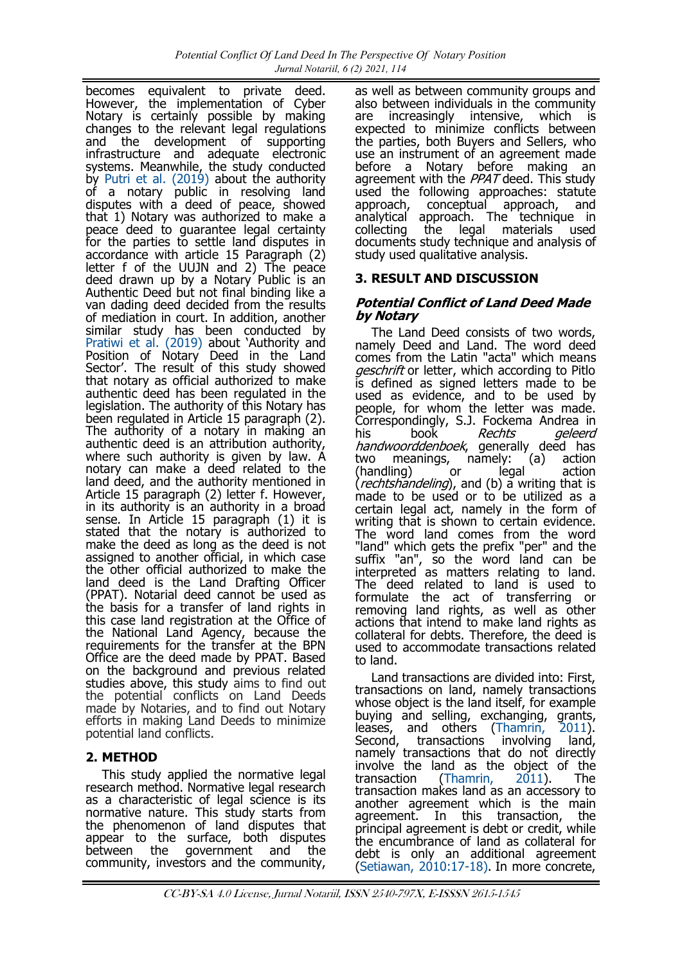becomes equivalent to private deed. However, the implementation of Cyber Notary is certainly possible by making changes to the relevant legal regulations and the development of supporting infrastructure and adequate electronic systems. Meanwhile, the study conducted by [Putri et al. \(2019\)](#page-7-0) about the authority of a notary public in resolving land disputes with a deed of peace, showed that 1) Notary was authorized to make a peace deed to guarantee legal certainty for the parties to settle land disputes in accordance with article 15 Paragraph (2) letter f of the UUJN and 2) The peace deed drawn up by a Notary Public is an Authentic Deed but not final binding like a van dading deed decided from the results of mediation in court. In addition, another similar study has been conducted by [Pratiwi et al. \(2019\)](#page-7-0) about 'Authority and Position of Notary Deed in the Land Sector'. The result of this study showed that notary as official authorized to make authentic deed has been regulated in the legislation. The authority of this Notary has been regulated in Article 15 paragraph (2). The authority of a notary in making an authentic deed is an attribution authority, where such authority is given by law. A notary can make a deed related to the land deed, and the authority mentioned in Article 15 paragraph (2) letter f. However, in its authority is an authority in a broad sense. In Article 15 paragraph (1) it is stated that the notary is authorized to make the deed as long as the deed is not assigned to another official, in which case the other official authorized to make the land deed is the Land Drafting Officer (PPAT). Notarial deed cannot be used as the basis for a transfer of land rights in this case land registration at the Office of the National Land Agency, because the requirements for the transfer at the BPN Office are the deed made by PPAT. Based on the background and previous related studies above, this study aims to find out the potential conflicts on Land Deeds made by Notaries, and to find out Notary efforts in making Land Deeds to minimize potential land conflicts.

# **2. METHOD**

This study applied the normative legal research method. Normative legal research as a characteristic of legal science is its normative nature. This study starts from the phenomenon of land disputes that appear to the surface, both disputes between the government and the community, investors and the community,

as well as between community groups and also between individuals in the community are increasingly intensive, which is expected to minimize conflicts between the parties, both Buyers and Sellers, who use an instrument of an agreement made before a Notary before making an agreement with the PPAT deed. This study used the following approaches: statute approach, conceptual approach, and approach, conceptual approach, analytical approach. The technique in collecting the legal materials used documents study technique and analysis of study used qualitative analysis.

# **3. RESULT AND DISCUSSION**

## **Potential Conflict of Land Deed Made by Notary**

The Land Deed consists of two words, namely Deed and Land. The word deed comes from the Latin "acta" which means geschrift or letter, which according to Pitlo is defined as signed letters made to be used as evidence, and to be used by people, for whom the letter was made. Correspondingly, S.J. Fockema Andrea in<br>his book Rechts aeleerd Rechts geleerd handwoorddenboek, generally deed has two meanings, namely: (a) action (handling) or legal action (*rechtshandeling*), and (b) a writing that is made to be used or to be utilized as a certain legal act, namely in the form of writing that is shown to certain evidence. The word land comes from the word "land" which gets the prefix "per" and the suffix "an", so the word land can be interpreted as matters relating to land. The deed related to land is used to formulate the act of transferring or removing land rights, as well as other actions that intend to make land rights as collateral for debts. Therefore, the deed is used to accommodate transactions related to land.

Land transactions are divided into: First, transactions on land, namely transactions whose object is the land itself, for example buying and selling, exchanging, grants, leases, and others ([Thamrin, 2011\).](#page-7-0) Second, transactions involving land, namely transactions that do not directly involve the land as the object of the transaction ([Thamrin, 2011\).](#page-7-0) The transaction makes land as an accessory to another agreement which is the main agreement. In this transaction, the principal agreement is debt or credit, while the encumbrance of land as collateral for debt is only an additional agreement [\(Setiawan, 2010:17](#page-7-0)-18). In more concrete,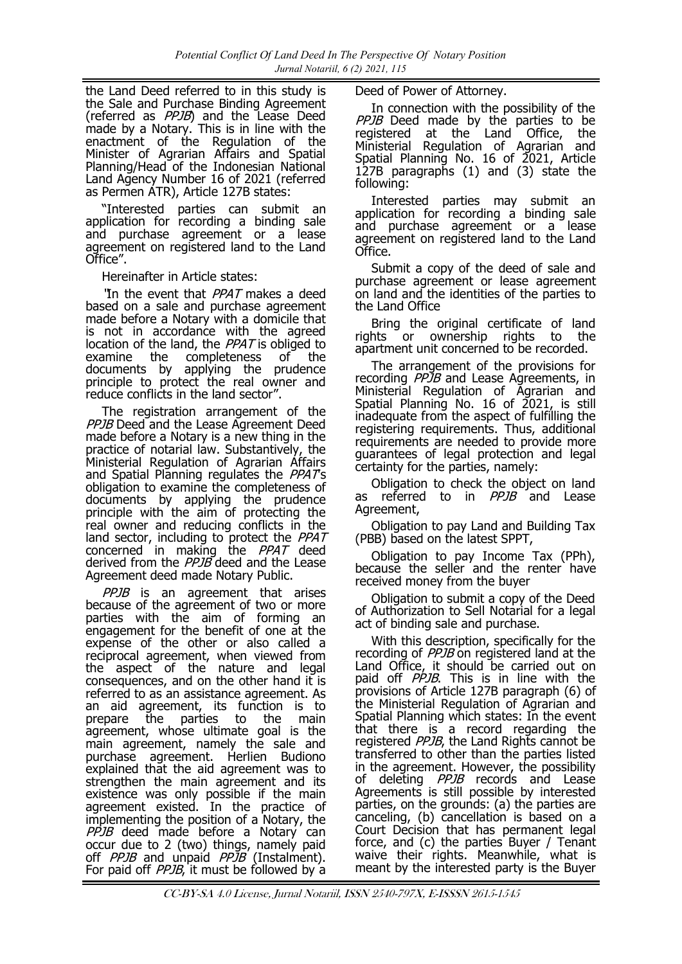the Land Deed referred to in this study is the Sale and Purchase Binding Agreement (referred as PPJB) and the Lease Deed made by a Notary. This is in line with the enactment of the Regulation of the Minister of Agrarian Affairs and Spatial Planning/Head of the Indonesian National Land Agency Number 16 of 2021 (referred as Permen ATR), Article 127B states:

"Interested parties can submit an application for recording a binding sale and purchase agreement or a lease agreement on registered land to the Land Office".

Hereinafter in Article states:

'In the event that PPAT makes a deed based on a sale and purchase agreement made before a Notary with a domicile that is not in accordance with the agreed location of the land, the PPAT is obliged to examine the completeness of the documents by applying the prudence principle to protect the real owner and reduce conflicts in the land sector".

The registration arrangement of the PPJB Deed and the Lease Agreement Deed made before a Notary is a new thing in the practice of notarial law. Substantively, the Ministerial Regulation of Agrarian Affairs and Spatial Planning regulates the *PPAT's* obligation to examine the completeness of documents by applying the prudence principle with the aim of protecting the real owner and reducing conflicts in the land sector, including to protect the PPAT concerned in making the *PPAT* deed derived from the PPJB deed and the Lease Agreement deed made Notary Public.

PPJB is an agreement that arises because of the agreement of two or more parties with the aim of forming an engagement for the benefit of one at the expense of the other or also called a reciprocal agreement, when viewed from the aspect of the nature and legal consequences, and on the other hand it is referred to as an assistance agreement. As an aid agreement, its function is to prepare the parties to the main agreement, whose ultimate goal is the main agreement, namely the sale and purchase agreement. Herlien Budiono explained that the aid agreement was to strengthen the main agreement and its existence was only possible if the main agreement existed. In the practice of implementing the position of a Notary, the PPJB deed made before a Notary can occur due to 2 (two) things, namely paid off PPJB and unpaid PPJB (Instalment). For paid off *PPJB*, it must be followed by a

Deed of Power of Attorney.

In connection with the possibility of the PPJB Deed made by the parties to be registered at the Land Office, the Ministerial Regulation of Agrarian and Spatial Planning No. 16 of 2021, Article 127B paragraphs (1) and (3) state the following:

Interested parties may submit an application for recording a binding sale and purchase agreement or a lease agreement on registered land to the Land Office.

Submit a copy of the deed of sale and purchase agreement or lease agreement on land and the identities of the parties to the Land Office

Bring the original certificate of land rights or ownership rights to the apartment unit concerned to be recorded.

The arrangement of the provisions for recording *PPJB* and Lease Agreements, in Ministerial Regulation of Agrarian and Spatial Planning No. 16 of 2021, is still inadequate from the aspect of fulfilling the registering requirements. Thus, additional requirements are needed to provide more guarantees of legal protection and legal certainty for the parties, namely:

Obligation to check the object on land as referred to in *PPJB* and Lease Agreement,

Obligation to pay Land and Building Tax (PBB) based on the latest SPPT,

Obligation to pay Income Tax (PPh), because the seller and the renter have received money from the buyer

Obligation to submit a copy of the Deed of Authorization to Sell Notarial for a legal act of binding sale and purchase.

With this description, specifically for the recording of PPJB on registered land at the Land Office, it should be carried out on paid off PPJB. This is in line with the provisions of Article 127B paragraph (6) of the Ministerial Regulation of Agrarian and Spatial Planning which states: In the event that there is a record regarding the registered PPJB, the Land Rights cannot be transferred to other than the parties listed in the agreement. However, the possibility of deleting PPJB records and Lease Agreements is still possible by interested parties, on the grounds: (a) the parties are canceling, (b) cancellation is based on a Court Decision that has permanent legal force, and (c) the parties Buyer / Tenant waive their rights. Meanwhile, what is meant by the interested party is the Buyer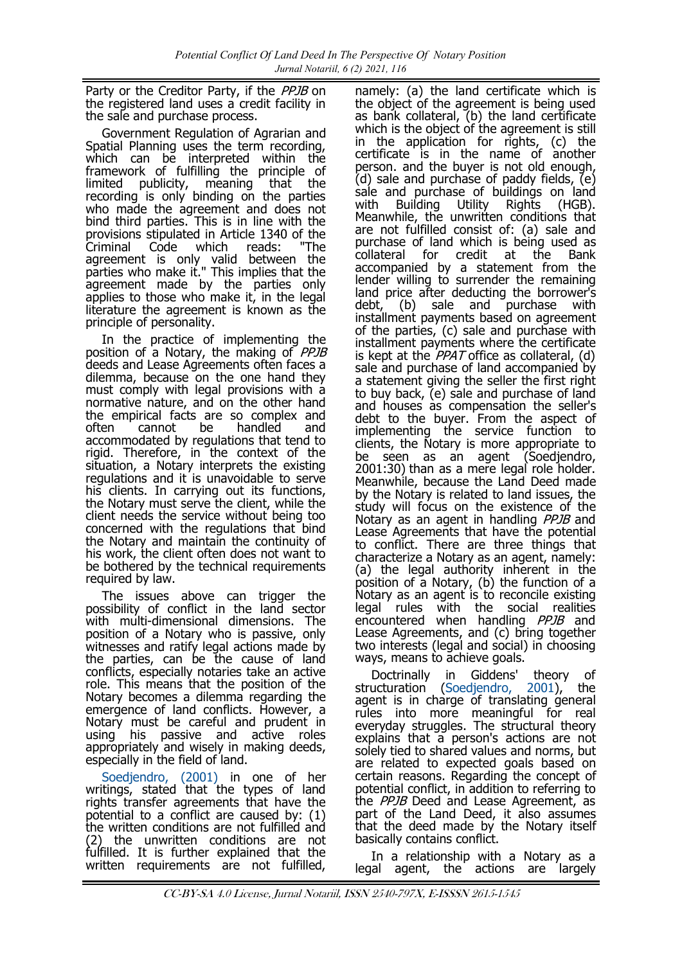Party or the Creditor Party, if the PPJB on the registered land uses a credit facility in the sale and purchase process.

Government Regulation of Agrarian and Spatial Planning uses the term recording, which can be interpreted within the framework of fulfilling the principle of limited publicity, meaning that the recording is only binding on the parties who made the agreement and does not bind third parties. This is in line with the provisions stipulated in Article 1340 of the Criminal Code which reads: "The agreement is only valid between the parties who make it." This implies that the agreement made by the parties only applies to those who make it, in the legal literature the agreement is known as the principle of personality.

In the practice of implementing the position of a Notary, the making of PPJB deeds and Lease Agreements often faces a dilemma, because on the one hand they must comply with legal provisions with a normative nature, and on the other hand the empirical facts are so complex and<br>often cannot be handled and often cannot be handled and accommodated by regulations that tend to rigid. Therefore, in the context of the situation, a Notary interprets the existing regulations and it is unavoidable to serve his clients. In carrying out its functions, the Notary must serve the client, while the client needs the service without being too concerned with the regulations that bind the Notary and maintain the continuity of his work, the client often does not want to be bothered by the technical requirements required by law.

The issues above can trigger the possibility of conflict in the land sector with multi-dimensional dimensions. The position of a Notary who is passive, only witnesses and ratify legal actions made by the parties, can be the cause of land conflicts, especially notaries take an active role. This means that the position of the Notary becomes a dilemma regarding the emergence of land conflicts. However, a Notary must be careful and prudent in using his passive and active roles appropriately and wisely in making deeds, especially in the field of land.

[Soedjendro, \(2001\)](#page-7-0) in one of her writings, stated that the types of land rights transfer agreements that have the potential to a conflict are caused by: (1) the written conditions are not fulfilled and (2) the unwritten conditions are not fulfilled. It is further explained that the written requirements are not fulfilled,

namely: (a) the land certificate which is the object of the agreement is being used as bank collateral, (b) the land certificate which is the object of the agreement is still in the application for rights, (c) the certificate is in the name of another person. and the buyer is not old enough, (d) sale and purchase of paddy fields, (e) sale and purchase of buildings on land with Building Utility Rights (HGB). Meanwhile, the unwritten conditions that are not fulfilled consist of: (a) sale and purchase of land which is being used as<br>collateral for credit at the Bank at the Bank accompanied by a statement from the lender willing to surrender the remaining land price after deducting the borrower's debt, (b) sale and purchase with installment payments based on agreement of the parties, (c) sale and purchase with installment payments where the certificate is kept at the  $PPAT$  office as collateral, (d) sale and purchase of land accompanied by a statement giving the seller the first right to buy back, (e) sale and purchase of land and houses as compensation the seller's debt to the buyer. From the aspect of implementing the service function to clients, the Notary is more appropriate to be seen as an agent (Soedjendro, 2001:30) than as a mere legal role holder. Meanwhile, because the Land Deed made by the Notary is related to land issues, the study will focus on the existence of the Notary as an agent in handling *PPJB* and Lease Agreements that have the potential to conflict. There are three things that characterize a Notary as an agent, namely: (a) the legal authority inherent in the position of a Notary, (b) the function of a Notary as an agent is to reconcile existing legal rules with the social realities encountered when handling *PPJB* and Lease Agreements, and (c) bring together two interests (legal and social) in choosing ways, means to achieve goals.

Doctrinally in Giddens' theory of structuration [\(Soedjendro, 2001\)](#page-7-0), the Doctrinally in Giddens' theory of<br>structuration (Soedjendro, 2001), the<br>agent is in charge of translating general rules into more meaningful for real everyday struggles. The structural theory explains that a person's actions are not solely tied to shared values and norms, but are related to expected goals based on certain reasons. Regarding the concept of potential conflict, in addition to referring to the *PPJB* Deed and Lease Agreement, as part of the Land Deed, it also assumes that the deed made by the Notary itself basically contains conflict.

In a relationship with a Notary as a legal agent, the actions are largely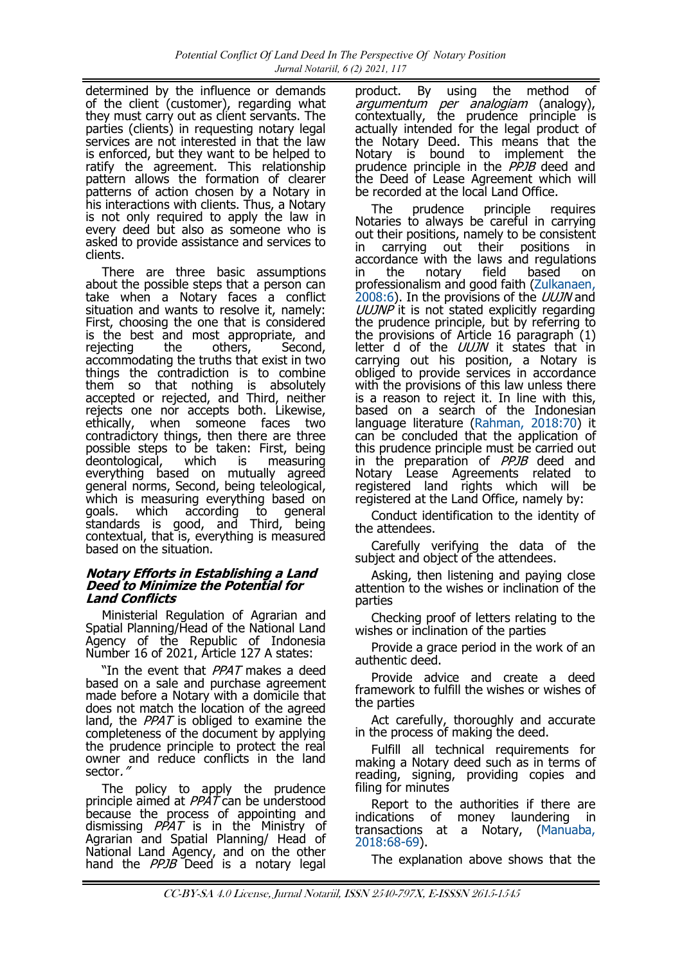determined by the influence or demands of the client (customer), regarding what they must carry out as client servants. The parties (clients) in requesting notary legal services are not interested in that the law is enforced, but they want to be helped to ratify the agreement. This relationship pattern allows the formation of clearer patterns of action chosen by a Notary in his interactions with clients. Thus, a Notary is not only required to apply the law in every deed but also as someone who is asked to provide assistance and services to clients.

There are three basic assumptions about the possible steps that a person can take when a Notary faces a conflict situation and wants to resolve it, namely: First, choosing the one that is considered is the best and most appropriate, and<br>rejecting the others, Second, rejecting accommodating the truths that exist in two things the contradiction is to combine them so that nothing is absolutely accepted or rejected, and Third, neither rejects one nor accepts both. Likewise, ethically, when someone faces two contradictory things, then there are three possible steps to be taken: First, being<br>deontological, which is measuring deontological, which is measuring everything based on mutually agreed general norms, Second, being teleological, which is measuring everything based on goals. which according to general standards is good, and Third, being contextual, that is, everything is measured based on the situation.

### **Notary Efforts in Establishing a Land Deed to Minimize the Potential for Land Conflicts**

Ministerial Regulation of Agrarian and Spatial Planning/Head of the National Land Agency of the Republic of Indonesia Number 16 of 2021, Article 127 A states:

"In the event that *PPAT* makes a deed based on a sale and purchase agreement made before a Notary with a domicile that does not match the location of the agreed land, the  $PPAT$  is obliged to examine the completeness of the document by applying the prudence principle to protect the real owner and reduce conflicts in the land sector,

The policy to apply the prudence principle aimed at *PPAT* can be understood because the process of appointing and dismissing *PPAT* is in the Ministry of Agrarian and Spatial Planning/ Head of National Land Agency, and on the other hand the PPJB Deed is a notary legal product. By using the method of argumentum per analogiam (analogy), contextually, the prudence principle is actually intended for the legal product of the Notary Deed. This means that the Notary is bound to implement the prudence principle in the *PPJB* deed and the Deed of Lease Agreement which will be recorded at the local Land Office.

The prudence principle requires Notaries to always be careful in carrying out their positions, namely to be consistent in carrying out their positions in accordance with the laws and regulations<br>in the notary field based on in the notary field based on professionalism and good faith ([Zulkanaen,](#page-7-0)  [2008:6\)](#page-7-0). In the provisions of the *UUJN* and UUJNP it is not stated explicitly regarding the prudence principle, but by referring to the provisions of Article 16 paragraph (1) letter d of the UUJN it states that in carrying out his position, a Notary is obliged to provide services in accordance with the provisions of this law unless there is a reason to reject it. In line with this, based on a search of the Indonesian language literature ([Rahman, 2018:70\)](#page-7-0) it can be concluded that the application of this prudence principle must be carried out in the preparation of PPJB deed and Notary Lease Agreements related to registered land rights which will be registered at the Land Office, namely by:

Conduct identification to the identity of the attendees.

Carefully verifying the data of the subject and object of the attendees.

Asking, then listening and paying close attention to the wishes or inclination of the parties

Checking proof of letters relating to the wishes or inclination of the parties

Provide a grace period in the work of an authentic deed.

Provide advice and create a deed framework to fulfill the wishes or wishes of the parties

Act carefully, thoroughly and accurate in the process of making the deed.

Fulfill all technical requirements for making a Notary deed such as in terms of reading, signing, providing copies and filing for minutes

Report to the authorities if there are indications of money laundering in transactions at a Notary, ([Manuaba,](#page-7-0)  [2018:68](#page-7-0)-69).

The explanation above shows that the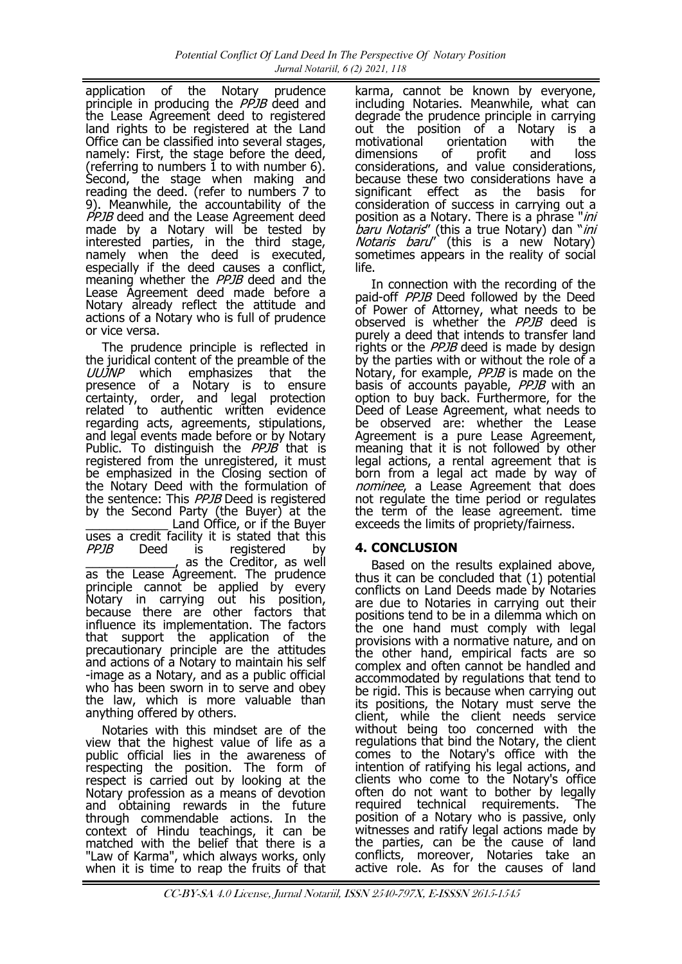application of the Notary prudence principle in producing the *PPJB* deed and the Lease Agreement deed to registered land rights to be registered at the Land Office can be classified into several stages, namely: First, the stage before the deed, (referring to numbers 1 to with number 6). Second, the stage when making and reading the deed. (refer to numbers 7 to 9). Meanwhile, the accountability of the PPJB deed and the Lease Agreement deed made by a Notary will be tested by interested parties, in the third stage, namely when the deed is executed, especially if the deed causes a conflict, meaning whether the *PPJB* deed and the Lease Agreement deed made before a Notary already reflect the attitude and actions of a Notary who is full of prudence or vice versa.

The prudence principle is reflected in the juridical content of the preamble of the UUJNP which emphasizes that the presence of a Notary is to ensure certainty, order, and legal protection related to authentic written evidence regarding acts, agreements, stipulations, and legal events made before or by Notary Public. To distinguish the *PPJB* that is registered from the unregistered, it must be emphasized in the Closing section of the Notary Deed with the formulation of the sentence: This PPJB Deed is registered by the Second Party (the Buyer) at the Land Office, or if the Buyer uses a credit facility it is stated that this PPJB Deed is registered by \_\_\_\_\_\_\_\_\_\_\_\_\_, as the Creditor, as well as the Lease Agreement. The prudence principle cannot be applied by every Notary in carrying out his position, because there are other factors that influence its implementation. The factors that support the application of the precautionary principle are the attitudes and actions of a Notary to maintain his self -image as a Notary, and as a public official who has been sworn in to serve and obey the law, which is more valuable than anything offered by others.

Notaries with this mindset are of the view that the highest value of life as a public official lies in the awareness of respecting the position. The form of respect is carried out by looking at the Notary profession as a means of devotion and obtaining rewards in the future through commendable actions. In the context of Hindu teachings, it can be matched with the belief that there is a "Law of Karma", which always works, only when it is time to reap the fruits of that

karma, cannot be known by everyone, including Notaries. Meanwhile, what can degrade the prudence principle in carrying out the position of a Notary is a motivational orientation with the<br>dimensions of profit and loss dimensions of profit and loss considerations, and value considerations, because these two considerations have a significant effect as the basis for consideration of success in carrying out a position as a Notary. There is a phrase "ini baru Notaris" (this a true Notary) dan "ini Notaris baru" (this is a new Notary) sometimes appears in the reality of social life.

In connection with the recording of the paid-off *PPJB* Deed followed by the Deed of Power of Attorney, what needs to be observed is whether the PPJB deed is purely a deed that intends to transfer land rights or the *PPJB* deed is made by design by the parties with or without the role of a Notary, for example, PPJB is made on the basis of accounts payable, PPJB with an option to buy back. Furthermore, for the Deed of Lease Agreement, what needs to be observed are: whether the Lease Agreement is a pure Lease Agreement, meaning that it is not followed by other legal actions, a rental agreement that is born from a legal act made by way of nominee, a Lease Agreement that does not regulate the time period or regulates the term of the lease agreement. time exceeds the limits of propriety/fairness.

# **4. CONCLUSION**

Based on the results explained above, thus it can be concluded that (1) potential conflicts on Land Deeds made by Notaries are due to Notaries in carrying out their positions tend to be in a dilemma which on the one hand must comply with legal provisions with a normative nature, and on the other hand, empirical facts are so complex and often cannot be handled and accommodated by regulations that tend to be rigid. This is because when carrying out its positions, the Notary must serve the client, while the client needs service without being too concerned with the regulations that bind the Notary, the client comes to the Notary's office with the intention of ratifying his legal actions, and clients who come to the Notary's office often do not want to bother by legally required technical requirements. The position of a Notary who is passive, only witnesses and ratify legal actions made by the parties, can be the cause of land conflicts, moreover, Notaries take an active role. As for the causes of land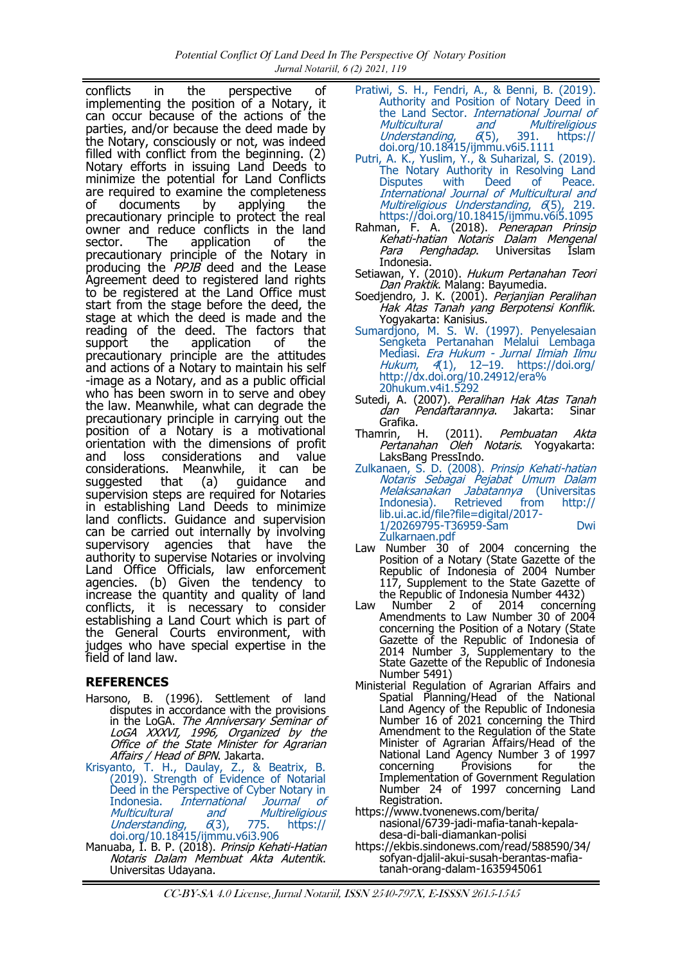<span id="page-7-0"></span>conflicts in the perspective of implementing the position of a Notary, it can occur because of the actions of the parties, and/or because the deed made by the Notary, consciously or not, was indeed filled with conflict from the beginning. (2) Notary efforts in issuing Land Deeds to minimize the potential for Land Conflicts are required to examine the completeness of documents by applying the precautionary principle to protect the real owner and reduce conflicts in the land<br>sector. The application of the sector. The application of the precautionary principle of the Notary in producing the *PPJB* deed and the Lease Agreement deed to registered land rights to be registered at the Land Office must start from the stage before the deed, the stage at which the deed is made and the reading of the deed. The factors that support the application of the precautionary principle are the attitudes and actions of a Notary to maintain his self -image as a Notary, and as a public official who has been sworn in to serve and obey the law. Meanwhile, what can degrade the precautionary principle in carrying out the position of a Notary is a motivational orientation with the dimensions of profit and loss considerations and value<br>considerations. Meanwhile, it can be considerations. Meanwhile,<br>suggested that (a) gu guidance and supervision steps are required for Notaries in establishing Land Deeds to minimize land conflicts. Guidance and supervision can be carried out internally by involving supervisory agencies that have the authority to supervise Notaries or involving Land Office Officials, law enforcement agencies. (b) Given the tendency to increase the quantity and quality of land conflicts, it is necessary to consider establishing a Land Court which is part of the General Courts environment, with judges who have special expertise in the field of land law.

# **REFERENCES**

- Harsono, B. (1996). Settlement of land disputes in accordance with the provisions in the LoGA. The Anniversary Seminar of LoGA XXXVI, 1996, Organized by the Office of the State Minister for Agrarian Affairs / Head of BPN. Jakarta.
- [Krisyanto, T. H., Daulay, Z., & Beatrix, B.](https://doi.org/10.18415/ijmmu.v6i3.906)  [\(2019\). Strength of Evidence of Notarial](https://doi.org/10.18415/ijmmu.v6i3.906)  [Deed in the Perspective of Cyber Notary in](https://doi.org/10.18415/ijmmu.v6i3.906)  Indonesia. *International Journal of*<br>Multicultural and Multireligious [Multicultural and Multireligious](https://doi.org/10.18415/ijmmu.v6i3.906)  Understanding,  $6(3)$ , 775. https:// [doi.org/10.18415/ijmmu.v6i3.906](https://doi.org/10.18415/ijmmu.v6i3.906)
- Manuaba, I. B. P. (2018). *Prinsip Kehati-Hatian* Notaris Dalam Membuat Akta Autentik. Universitas Udayana.
- [Pratiwi, S. H., Fendri, A., & Benni, B. \(2019\).](https://doi.org/10.18415/ijmmu.v6i5.1111)  [Authority and Position of Notary Deed in](https://doi.org/10.18415/ijmmu.v6i5.1111)  the Land Sector. International Journal of Multicultural and Multireligious<br>Understanding, 6(5), 391. https:// Understanding,  $6(5)$ , 391. https:// [doi.org/10.18415/ijmmu.v6i5.1111](https://doi.org/10.18415/ijmmu.v6i5.1111)
- [Putri, A. K., Yuslim, Y., & Suharizal, S. \(2019\).](https://doi.org/10.18415/ijmmu.v6i5.1095)  [The Notary Authority in Resolving Land](https://doi.org/10.18415/ijmmu.v6i5.1095)  [Disputes with Deed of Peace.](https://doi.org/10.18415/ijmmu.v6i5.1095)  [International Journal of Multicultural and](https://doi.org/10.18415/ijmmu.v6i5.1095)  [Multireligious Understanding](https://doi.org/10.18415/ijmmu.v6i5.1095), 6(5), 219. <https://doi.org/10.18415/ijmmu.v6i5.1095>
- Rahman, F. A. (2018). Penerapan Prinsip Kehati-hatian Notaris Dalam Mengenal Para Penghadap. Universitas Islam Indonesia.
- Setiawan, Y. (2010). Hukum Pertanahan Teori Dan Praktik. Malang: Bayumedia.
- Soedjendro, J. K. (2001). Perjanjian Peralihan Hak Atas Tanah yang Berpotensi Konflik. Yogyakarta: Kanisius.
- [Sumardjono, M. S. W. \(1997\). Penyelesaian](https://doi.org/http:/dx.doi.org/10.24912/era%20hukum.v4i1.5292)  Sengketa Pertanahan Melalui Lembaga Mediasi. *Era Hukum - Jurnal Ilmiah Ilmu* Hukum, 4[\(1\), 12–19. https://doi.org/](https://doi.org/http:/dx.doi.org/10.24912/era%20hukum.v4i1.5292) [http://dx.doi.org/10.24912/era%](https://doi.org/http:/dx.doi.org/10.24912/era%20hukum.v4i1.5292) [20hukum.v4i1.5292](https://doi.org/http:/dx.doi.org/10.24912/era%20hukum.v4i1.5292)
- Sutedi, A. (2007). Peralihan Hak Atas Tanah dan Pendaftarannya. Jakarta: Sinar Grafika.
- Thamrin, H. (2011). Pembuatan Akta n...,<br>Pertanahan Oleh Notaris. Yogyakarta: LaksBang PressIndo.
- [Zulkanaen, S. D. \(2008\).](http://lib.ui.ac.id/file?file=digital/2017-1/20269795-T36959-Sam%20Dwi%20Zulkarnaen.pdf) Prinsip Kehati-hatian Notaris Sebagai Pejabat Umum Dalam [Melaksanakan Jabatannya](http://lib.ui.ac.id/file?file=digital/2017-1/20269795-T36959-Sam%20Dwi%20Zulkarnaen.pdf) (Universitas<br>Indonesia). Retrieved from http:// [Indonesia\). Retrieved from http://](http://lib.ui.ac.id/file?file=digital/2017-1/20269795-T36959-Sam%20Dwi%20Zulkarnaen.pdf) [lib.ui.ac.id/file?file=digital/2017](http://lib.ui.ac.id/file?file=digital/2017-1/20269795-T36959-Sam%20Dwi%20Zulkarnaen.pdf)- 1/20269795-T36959-[Sam Dwi](http://lib.ui.ac.id/file?file=digital/2017-1/20269795-T36959-Sam%20Dwi%20Zulkarnaen.pdf)  [Zulkarnaen.pdf](http://lib.ui.ac.id/file?file=digital/2017-1/20269795-T36959-Sam%20Dwi%20Zulkarnaen.pdf)
- Law Number 30 of 2004 concerning the Position of a Notary (State Gazette of the Republic of Indonesia of 2004 Number 117, Supplement to the State Gazette of
- the Republic of Indonesia Number 4432)<br>Number 2 of 2014 concernir Law Number 2 of 2014 concerning Amendments to Law Number 30 of 2004 concerning the Position of a Notary (State Gazette of the Republic of Indonesia of 2014 Number 3, Supplementary to the State Gazette of the Republic of Indonesia Number 5491)
- Ministerial Regulation of Agrarian Affairs and Spatial Planning/Head of the National Land Agency of the Republic of Indonesia Number 16 of 2021 concerning the Third Amendment to the Regulation of the State Minister of Agrarian Affairs/Head of the National Land Agency Number 3 of 1997 concerning Provisions for the Implementation of Government Regulation Number 24 of 1997 concerning Land Registration.
- [https://www.tvonenews.com/berita/](https://www.tvonenews.com/berita/nasional/6739-jadi-mafia-tanah-kepala-desa-di-bali-diamankan-polisi) [nasional/6739](https://www.tvonenews.com/berita/nasional/6739-jadi-mafia-tanah-kepala-desa-di-bali-diamankan-polisi)-jadi-mafia-tanah-kepaladesa-di-bali-[diamankan](https://www.tvonenews.com/berita/nasional/6739-jadi-mafia-tanah-kepala-desa-di-bali-diamankan-polisi)-polisi
- [https://ekbis.sindonews.com/read/588590/34/](https://ekbis.sindonews.com/read/588590/34/sofyan-djalil-akui-susah-berantas-mafia-tanah-orang-dalam-1635945061) sofyan-djalil-akui-susah-[berantas](https://ekbis.sindonews.com/read/588590/34/sofyan-djalil-akui-susah-berantas-mafia-tanah-orang-dalam-1635945061)-mafiatanah-orang-dalam-[1635945061](https://ekbis.sindonews.com/read/588590/34/sofyan-djalil-akui-susah-berantas-mafia-tanah-orang-dalam-1635945061)